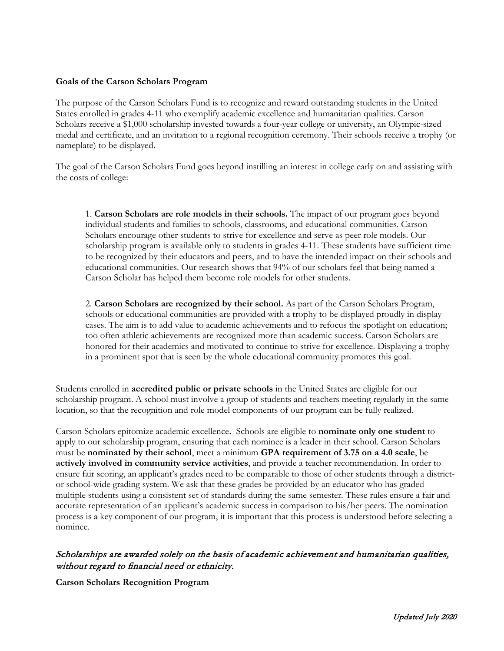## **Goals of the Carson Scholars Program**

The purpose of the Carson Scholars Fund is to recognize and reward outstanding students in the United States enrolled in grades 4-11 who exemplify academic excellence and humanitarian qualities. Carson Scholars receive a \$1,000 scholarship invested towards a four-year college or university, an Olympic-sized medal and certificate, and an invitation to a regional recognition ceremony. Their schools receive a trophy (or nameplate) to be displayed.

The goal of the Carson Scholars Fund goes beyond instilling an interest in college early on and assisting with the costs of college:

1. **Carson Scholars are role models in their schools.** The impact of our program goes beyond individual students and families to schools, classrooms, and educational communities. Carson Scholars encourage other students to strive for excellence and serve as peer role models. Our scholarship program is available only to students in grades 4-11. These students have sufficient time to be recognized by their educators and peers, and to have the intended impact on their schools and educational communities. Our research shows that 94% of our scholars feel that being named a Carson Scholar has helped them become role models for other students.

2. **Carson Scholars are recognized by their school.** As part of the Carson Scholars Program, schools or educational communities are provided with a trophy to be displayed proudly in display cases. The aim is to add value to academic achievements and to refocus the spotlight on education; too often athletic achievements are recognized more than academic success. Carson Scholars are honored for their academics and motivated to continue to strive for excellence. Displaying a trophy in a prominent spot that is seen by the whole educational community promotes this goal.

Students enrolled in **accredited public or private schools** in the United States are eligible for our scholarship program. A school must involve a group of students and teachers meeting regularly in the same location, so that the recognition and role model components of our program can be fully realized.

Carson Scholars epitomize academic excellence**.** Schools are eligible to **nominate only one student** to apply to our scholarship program, ensuring that each nominee is a leader in their school. Carson Scholars must be **nominated by their school**, meet a minimum **GPA requirement of 3.75 on a 4.0 scale**, be **actively involved in community service activities**, and provide a teacher recommendation. In order to ensure fair scoring, an applicant's grades need to be comparable to those of other students through a districtor school-wide grading system. We ask that these grades be provided by an educator who has graded multiple students using a consistent set of standards during the same semester. These rules ensure a fair and accurate representation of an applicant's academic success in comparison to his/her peers. The nomination process is a key component of our program, it is important that this process is understood before selecting a nominee.

## Scholarships are awarded solely on the basis of academic achievement and humanitarian qualities, without regard to financial need or ethnicity.

**Carson Scholars Recognition Program**